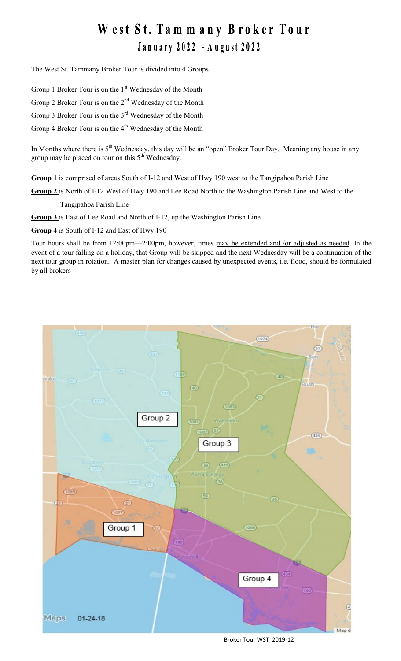## West St. Tammany Broker Tour January 2022 - August 2022

The West St. Tammany Broker Tour is divided into 4 Groups.

Group 1 Broker Tour is on the  $1<sup>st</sup>$  Wednesday of the Month

Group 2 Broker Tour is on the 2<sup>nd</sup> Wednesday of the Month

Group 3 Broker Tour is on the 3<sup>rd</sup> Wednesday of the Month

Group 4 Broker Tour is on the 4<sup>th</sup> Wednesday of the Month

In Months where there is 5<sup>th</sup> Wednesday, this day will be an "open" Broker Tour Day. Meaning any house in any group may be placed on tour on this  $5<sup>th</sup>$  Wednesday.

**Group 1** is comprised of areas South of I-12 and West of Hwy 190 west to the Tangipahoa Parish Line

**Group 2** is North of I-12 West of Hwy 190 and Lee Road North to the Washington Parish Line and West to the

Tangipahoa Parish Line

**Group 3** is East of Lee Road and North of I-12, up the Washington Parish Line

**Group 4** is South of I-12 and East of Hwy 190

Tour hours shall be from 12:00pm—2:00pm, however, times may be extended and /or adjusted as needed. In the event of a tour falling on a holiday, that Group will be skipped and the next Wednesday will be a continuation of the next tour group in rotation. A master plan for changes caused by unexpected events, i.e. flood, should be formulated by all brokers



Broker Tour WST 2019-12